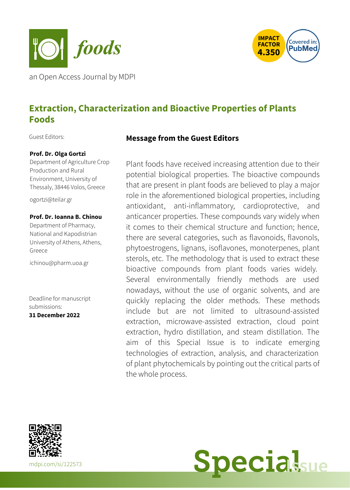



an Open Access Journal by MDPI

# **Extraction, Characterization and Bioactive Properties of Plants Foods**

Guest Editors:

#### **Prof. Dr. Olga Gortzi**

Department of Agriculture Crop Production and Rural Environment, University of Thessaly, 38446 Volos, Greece

[ogortzi@teilar.gr](mailto:ogortzi@teilar.gr)

#### **Prof. Dr. Ioanna B. Chinou**

Department of Pharmacy, National and Kapodistrian University of Athens, Athens, Greece

[ichinou@pharm.uoa.gr](mailto:ichinou@pharm.uoa.gr)

Deadline for manuscript submissions:

**31 December 2022**



Plant foods have received increasing attention due to their potential biological properties. The bioactive compounds that are present in plant foods are believed to play a major role in the aforementioned biological properties, including antioxidant, anti-inflammatory, cardioprotective, and anticancer properties. These compounds vary widely when it comes to their chemical structure and function; hence, there are several categories, such as flavonoids, flavonols, phytoestrogens, lignans, isoflavones, monoterpenes, plant sterols, etc. The methodology that is used to extract these bioactive compounds from plant foods varies widely. Several environmentally friendly methods are used nowadays, without the use of organic solvents, and are quickly replacing the older methods. These methods include but are not limited to ultrasound-assisted extraction, microwave-assisted extraction, cloud point extraction, hydro distillation, and steam distillation. The aim of this Special Issue is to indicate emerging technologies of extraction, analysis, and characterization of plant phytochemicals by pointing out the critical parts of the whole process.